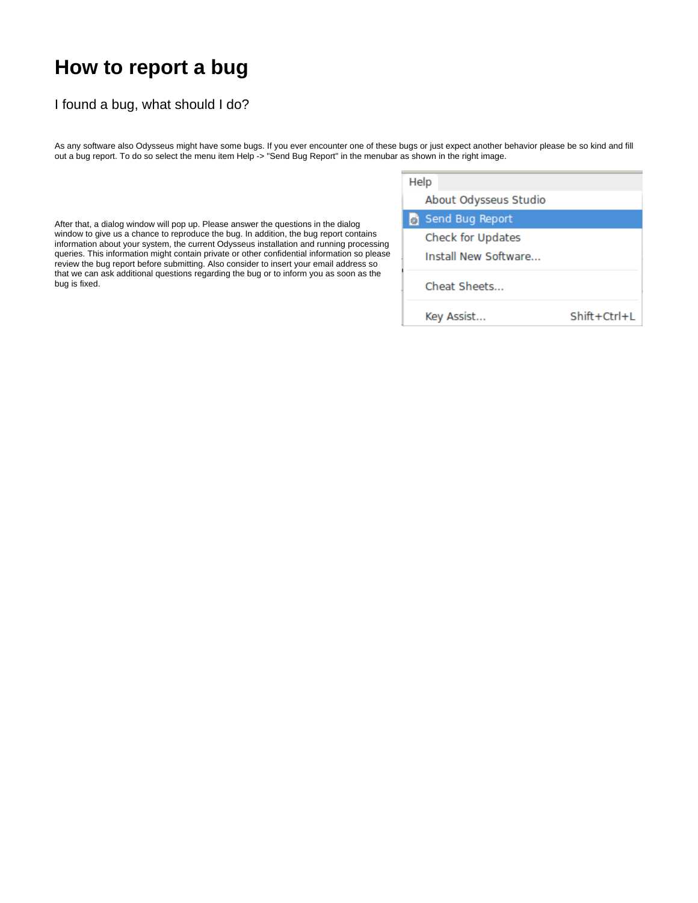## **How to report a bug**

## I found a bug, what should I do?

As any software also Odysseus might have some bugs. If you ever encounter one of these bugs or just expect another behavior please be so kind and fill out a bug report. To do so select the menu item Help -> "Send Bug Report" in the menubar as shown in the right image.

After that, a dialog window will pop up. Please answer the questions in the dialog window to give us a chance to reproduce the bug. In addition, the bug report contains information about your system, the current Odysseus installation and running processing queries. This information might contain private or other confidential information so please review the bug report before submitting. Also consider to insert your email address so that we can ask additional questions regarding the bug or to inform you as soon as the bug is fixed.

| Help                  |                |
|-----------------------|----------------|
| About Odysseus Studio |                |
| Send Bug Report       |                |
| Check for Updates     |                |
| Install New Software  |                |
| Cheat Sheets          |                |
| Key Assist            | $Shift+Ctrl+L$ |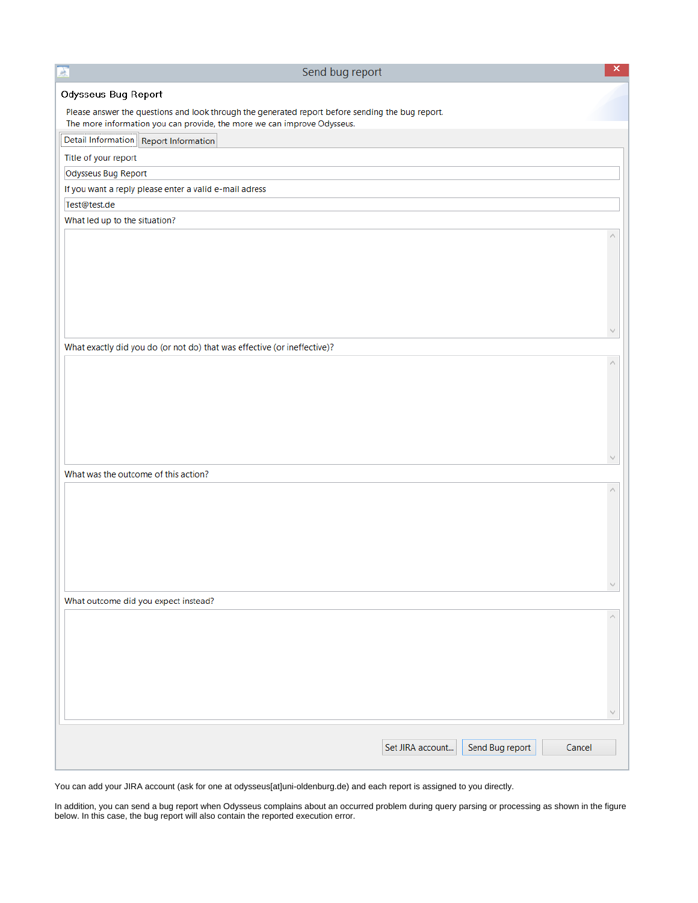| 主<br>Send bug report                                                                                                                                                        |                  |                 | $\mathsf{x}$ |
|-----------------------------------------------------------------------------------------------------------------------------------------------------------------------------|------------------|-----------------|--------------|
| Odysseus Bug Report                                                                                                                                                         |                  |                 |              |
| Please answer the questions and look through the generated report before sending the bug report.<br>The more information you can provide, the more we can improve Odysseus. |                  |                 |              |
| Detail Information Report Information                                                                                                                                       |                  |                 |              |
| Title of your report                                                                                                                                                        |                  |                 |              |
| Odysseus Bug Report                                                                                                                                                         |                  |                 |              |
| If you want a reply please enter a valid e-mail adress                                                                                                                      |                  |                 |              |
| Test@test.de                                                                                                                                                                |                  |                 |              |
| What led up to the situation?                                                                                                                                               |                  |                 |              |
|                                                                                                                                                                             |                  |                 |              |
|                                                                                                                                                                             |                  |                 |              |
|                                                                                                                                                                             |                  |                 |              |
|                                                                                                                                                                             |                  |                 |              |
|                                                                                                                                                                             |                  |                 |              |
|                                                                                                                                                                             |                  |                 |              |
|                                                                                                                                                                             |                  |                 |              |
| What exactly did you do (or not do) that was effective (or ineffective)?                                                                                                    |                  |                 |              |
|                                                                                                                                                                             |                  |                 |              |
|                                                                                                                                                                             |                  |                 |              |
|                                                                                                                                                                             |                  |                 |              |
|                                                                                                                                                                             |                  |                 |              |
|                                                                                                                                                                             |                  |                 |              |
|                                                                                                                                                                             |                  |                 |              |
|                                                                                                                                                                             |                  |                 |              |
| What was the outcome of this action?                                                                                                                                        |                  |                 |              |
|                                                                                                                                                                             |                  |                 |              |
|                                                                                                                                                                             |                  |                 |              |
|                                                                                                                                                                             |                  |                 |              |
|                                                                                                                                                                             |                  |                 |              |
|                                                                                                                                                                             |                  |                 |              |
|                                                                                                                                                                             |                  |                 |              |
|                                                                                                                                                                             |                  |                 | $\sim$       |
| What outcome did you expect instead?                                                                                                                                        |                  |                 |              |
|                                                                                                                                                                             |                  |                 | Λ            |
|                                                                                                                                                                             |                  |                 |              |
|                                                                                                                                                                             |                  |                 |              |
|                                                                                                                                                                             |                  |                 |              |
|                                                                                                                                                                             |                  |                 |              |
|                                                                                                                                                                             |                  |                 |              |
|                                                                                                                                                                             |                  |                 |              |
|                                                                                                                                                                             |                  |                 |              |
|                                                                                                                                                                             | Set JIRA account | Send Bug report | Cancel       |
|                                                                                                                                                                             |                  |                 |              |

You can add your JIRA account (ask for one at odysseus[at]uni-oldenburg.de) and each report is assigned to you directly.

In addition, you can send a bug report when Odysseus complains about an occurred problem during query parsing or processing as shown in the figure below. In this case, the bug report will also contain the reported execution error.